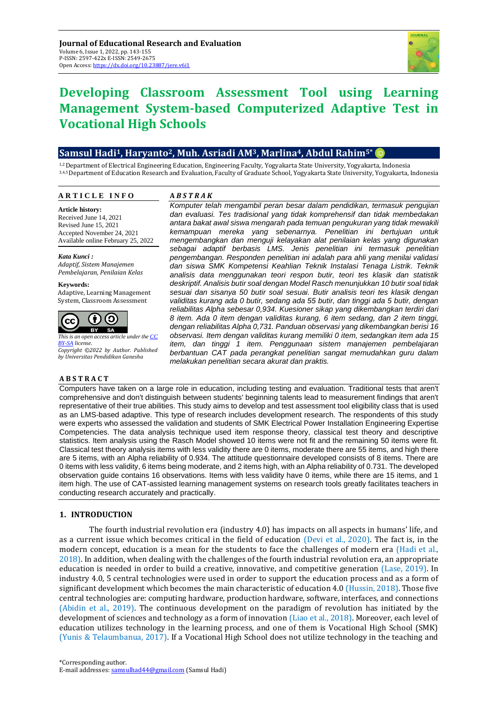

# **Developing Classroom Assessment Tool using Learning Management System-based Computerized Adaptive Test in Vocational High Schools**

# **Samsul Hadi1, Haryanto2, Muh. Asriadi AM3, Marlina4, Abdul Rahim5\***

1,2 Department of Electrical Engineering Education, Engineering Faculty, Yogyakarta State University, Yogyakarta, Indonesia 3,4,5Department of Education Research and Evaluation, Faculty of Graduate School, Yogyakarta State University, Yogyakarta, Indonesia

#### **A** *B S T R A K* **A R T I C L E I N F O**

**Article history:** Received June 14, 2021 Revised June 15, 2021 Accepted November 24, 2021 Available online February 25, 2022

*Kata Kunci : Adaptif, Sistem Manajemen Pembelajaran, Penilaian Kelas*

**Keywords:** Adaptive, Learning Management System, Classroom Assessment



**A B S T R A C T**

*This is an open access article under th[e CC](https://creativecommons.org/licenses/by-sa/4.0/)  [BY-SA](https://creativecommons.org/licenses/by-sa/4.0/) license. Copyright ©2022 by Author. Published by Universitas Pendidikan Ganesha*

*Komputer telah mengambil peran besar dalam pendidikan, termasuk pengujian dan evaluasi. Tes tradisional yang tidak komprehensif dan tidak membedakan antara bakat awal siswa mengarah pada temuan pengukuran yang tidak mewakili kemampuan mereka yang sebenarnya. Penelitian ini bertujuan untuk mengembangkan dan menguji kelayakan alat penilaian kelas yang digunakan sebagai adaptif berbasis LMS. Jenis penelitian ini termasuk penelitian pengembangan. Responden penelitian ini adalah para ahli yang menilai validasi dan siswa SMK Kompetensi Keahlian Teknik Instalasi Tenaga Listrik. Teknik analisis data menggunakan teori respon butir, teori tes klasik dan statistik deskriptif. Analisis butir soal dengan Model Rasch menunjukkan 10 butir soal tidak sesuai dan sisanya 50 butir soal sesuai. Butir analisis teori tes klasik dengan validitas kurang ada 0 butir, sedang ada 55 butir, dan tinggi ada 5 butir, dengan reliabilitas Alpha sebesar 0,934. Kuesioner sikap yang dikembangkan terdiri dari 8 item. Ada 0 item dengan validitas kurang, 6 item sedang, dan 2 item tinggi, dengan reliabilitas Alpha 0,731. Panduan observasi yang dikembangkan berisi 16 observasi. Item dengan validitas kurang memiliki 0 item, sedangkan item ada 15 item, dan tinggi 1 item. Penggunaan sistem manajemen pembelajaran berbantuan CAT pada perangkat penelitian sangat memudahkan guru dalam melakukan penelitian secara akurat dan praktis.*

Computers have taken on a large role in education, including testing and evaluation. Traditional tests that aren't comprehensive and don't distinguish between students' beginning talents lead to measurement findings that aren't representative of their true abilities. This study aims to develop and test assessment tool eligibility class that is used as an LMS-based adaptive. This type of research includes development research. The respondents of this study were experts who assessed the validation and students of SMK Electrical Power Installation Engineering Expertise Competencies. The data analysis technique used item response theory, classical test theory and descriptive statistics. Item analysis using the Rasch Model showed 10 items were not fit and the remaining 50 items were fit. Classical test theory analysis items with less validity there are 0 items, moderate there are 55 items, and high there are 5 items, with an Alpha reliability of 0.934. The attitude questionnaire developed consists of 8 items. There are 0 items with less validity, 6 items being moderate, and 2 items high, with an Alpha reliability of 0.731. The developed observation guide contains 16 observations. Items with less validity have 0 items, while there are 15 items, and 1 item high. The use of CAT-assisted learning management systems on research tools greatly facilitates teachers in conducting research accurately and practically.

# **1. INTRODUCTION**

The fourth industrial revolution era (industry 4.0) has impacts on all aspects in humans' life, and as a current issue which becomes critical in the field of education (Devi et al., 2020). The fact is, in the modern concept, education is a mean for the students to face the challenges of modern era (Hadi et al., 2018). In addition, when dealing with the challenges of the fourth industrial revolution era, an appropriate education is needed in order to build a creative, innovative, and competitive generation (Lase, 2019). In industry 4.0, 5 central technologies were used in order to support the education process and as a form of significant development which becomes the main characteristic of education 4.0 (Hussin, 2018). Those five central technologies are: computing hardware, production hardware, software, interfaces, and connections (Abidin et al., 2019). The continuous development on the paradigm of revolution has initiated by the development of sciences and technology as a form of innovation (Liao et al., 2018). Moreover, each level of education utilizes technology in the learning process, and one of them is Vocational High School (SMK) (Yunis & Telaumbanua, 2017). If a Vocational High School does not utilize technology in the teaching and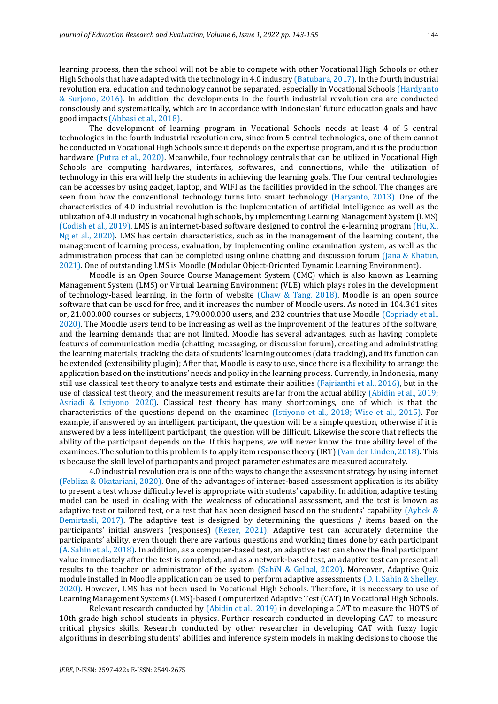learning process, then the school will not be able to compete with other Vocational High Schools or other High Schools that have adapted with the technology in 4.0 industry (Batubara, 2017). In the fourth industrial revolution era, education and technology cannot be separated, especially in Vocational Schools (Hardyanto & Surjono, 2016). In addition, the developments in the fourth industrial revolution era are conducted consciously and systematically, which are in accordance with Indonesian' future education goals and have good impacts (Abbasi et al., 2018).

The development of learning program in Vocational Schools needs at least 4 of 5 central technologies in the fourth industrial revolution era, since from 5 central technologies, one of them cannot be conducted in Vocational High Schools since it depends on the expertise program, and it is the production hardware (Putra et al., 2020). Meanwhile, four technology centrals that can be utilized in Vocational High Schools are computing hardwares, interfaces, softwares, and connections, while the utilization of technology in this era will help the students in achieving the learning goals. The four central technologies can be accesses by using gadget, laptop, and WIFI as the facilities provided in the school. The changes are seen from how the conventional technology turns into smart technology (Haryanto, 2013). One of the characteristics of 4.0 industrial revolution is the implementation of artificial intelligence as well as the utilization of 4.0 industry in vocational high schools, by implementing Learning Management System (LMS) (Codish et al., 2019). LMS is an internet-based software designed to control the e-learning program (Hu, X., Ng et al., 2020). LMS has certain characteristics, such as in the management of the learning content, the management of learning process, evaluation, by implementing online examination system, as well as the administration process that can be completed using online chatting and discussion forum (Jana & Khatun, 2021). One of outstanding LMS is Moodle (Modular Object-Oriented Dynamic Learning Environment).

Moodle is an Open Source Course Management System (CMC) which is also known as Learning Management System (LMS) or Virtual Learning Environment (VLE) which plays roles in the development of technology-based learning, in the form of website (Chaw & Tang, 2018). Moodle is an open source software that can be used for free, and it increases the number of Moodle users. As noted in 104.361 sites or, 21.000.000 courses or subjects, 179.000.000 users, and 232 countries that use Moodle (Copriady et al., 2020). The Moodle users tend to be increasing as well as the improvement of the features of the software, and the learning demands that are not limited. Moodle has several advantages, such as having complete features of communication media (chatting, messaging, or discussion forum), creating and administrating the learning materials, tracking the data of students' learning outcomes (data tracking), and its function can be extended (extensibility plugin); After that, Moodle is easy to use, since there is a flexibility to arrange the application based on the institutions' needs and policy in the learning process. Currently, in Indonesia, many still use classical test theory to analyze tests and estimate their abilities (Fajrianthi et al., 2016), but in the use of classical test theory, and the measurement results are far from the actual ability (Abidin et al., 2019; Asriadi & Istiyono, 2020). Classical test theory has many shortcomings, one of which is that the characteristics of the questions depend on the examinee (Istiyono et al., 2018; Wise et al., 2015). For example, if answered by an intelligent participant, the question will be a simple question, otherwise if it is answered by a less intelligent participant, the question will be difficult. Likewise the score that reflects the ability of the participant depends on the. If this happens, we will never know the true ability level of the examinees. The solution to this problem is to apply item response theory (IRT) (Van der Linden, 2018). This is because the skill level of participants and project parameter estimates are measured accurately.

4.0 industrial revolution era is one of the ways to change the assessment strategy by using internet (Febliza & Okatariani, 2020). One of the advantages of internet-based assessment application is its ability to present a test whose difficulty level is appropriate with students' capability. In addition, adaptive testing model can be used in dealing with the weakness of educational assessment, and the test is known as adaptive test or tailored test, or a test that has been designed based on the students' capability (Aybek & Demirtasli, 2017). The adaptive test is designed by determining the questions / items based on the participants' initial answers (responses) (Kezer, 2021). Adaptive test can accurately determine the participants' ability, even though there are various questions and working times done by each participant (A. Sahin et al., 2018). In addition, as a computer-based test, an adaptive test can show the final participant value immediately after the test is completed; and as a network-based test, an adaptive test can present all results to the teacher or administrator of the system (Sahi̇N & Gelbal, 2020). Moreover, Adaptive Quiz module installed in Moodle application can be used to perform adaptive assessments (D. I. Sahin & Shelley, 2020). However, LMS has not been used in Vocational High Schools. Therefore, it is necessary to use of Learning Management Systems (LMS)-based Computerized Adaptive Test (CAT) in Vocational High Schools.

Relevant research conducted by (Abidin et al., 2019) in developing a CAT to measure the HOTS of 10th grade high school students in physics. Further research conducted in developing CAT to measure critical physics skills. Research conducted by other researcher in developing CAT with fuzzy logic algorithms in describing students' abilities and inference system models in making decisions to choose the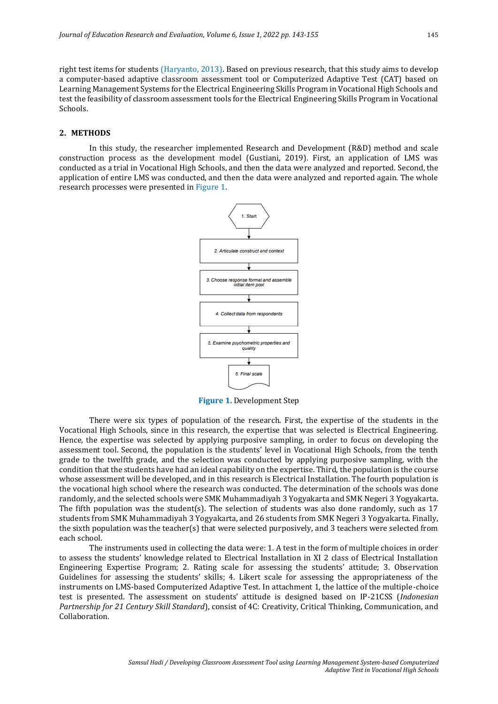right test items for students (Haryanto, 2013). Based on previous research, that this study aims to develop a computer-based adaptive classroom assessment tool or Computerized Adaptive Test (CAT) based on Learning Management Systems for the Electrical Engineering Skills Program in Vocational High Schools and test the feasibility of classroom assessment tools for the Electrical Engineering Skills Program in Vocational Schools.

# **2. METHODS**

In this study, the researcher implemented Research and Development (R&D) method and scale construction process as the development model (Gustiani, 2019). First, an application of LMS was conducted as a trial in Vocational High Schools, and then the data were analyzed and reported. Second, the application of entire LMS was conducted, and then the data were analyzed and reported again. The whole research processes were presented in Figure 1.



**Figure 1.** Development Step

There were six types of population of the research. First, the expertise of the students in the Vocational High Schools, since in this research, the expertise that was selected is Electrical Engineering. Hence, the expertise was selected by applying purposive sampling, in order to focus on developing the assessment tool. Second, the population is the students' level in Vocational High Schools, from the tenth grade to the twelfth grade, and the selection was conducted by applying purposive sampling, with the condition that the students have had an ideal capability on the expertise. Third, the population is the course whose assessment will be developed, and in this research is Electrical Installation. The fourth population is the vocational high school where the research was conducted. The determination of the schools was done randomly, and the selected schools were SMK Muhammadiyah 3 Yogyakarta and SMK Negeri 3 Yogyakarta. The fifth population was the student(s). The selection of students was also done randomly, such as 17 students from SMK Muhammadiyah 3 Yogyakarta, and 26 students from SMK Negeri 3 Yogyakarta. Finally, the sixth population was the teacher(s) that were selected purposively, and 3 teachers were selected from each school.

The instruments used in collecting the data were: 1. A test in the form of multiple choices in order to assess the students' knowledge related to Electrical Installation in XI 2 class of Electrical Installation Engineering Expertise Program; 2. Rating scale for assessing the students' attitude; 3. Observation Guidelines for assessing the students' skills; 4. Likert scale for assessing the appropriateness of the instruments on LMS-based Computerized Adaptive Test. In attachment 1, the lattice of the multiple-choice test is presented. The assessment on students' attitude is designed based on IP-21CSS (*Indonesian Partnership for 21 Century Skill Standard*), consist of 4C: Creativity, Critical Thinking, Communication, and Collaboration.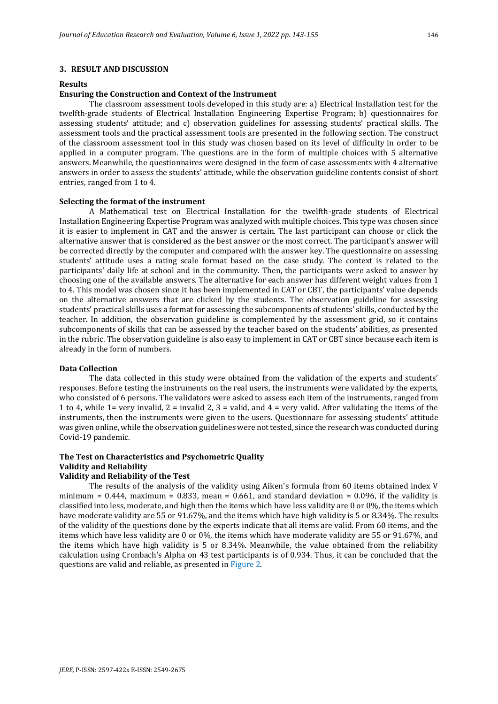# **3. RESULT AND DISCUSSION**

### **Results**

# **Ensuring the Construction and Context of the Instrument**

The classroom assessment tools developed in this study are: a) Electrical Installation test for the twelfth-grade students of Electrical Installation Engineering Expertise Program; b) questionnaires for assessing students' attitude; and c) observation guidelines for assessing students' practical skills. The assessment tools and the practical assessment tools are presented in the following section. The construct of the classroom assessment tool in this study was chosen based on its level of difficulty in order to be applied in a computer program. The questions are in the form of multiple choices with 5 alternative answers. Meanwhile, the questionnaires were designed in the form of case assessments with 4 alternative answers in order to assess the students' attitude, while the observation guideline contents consist of short entries, ranged from 1 to 4.

### **Selecting the format of the instrument**

A Mathematical test on Electrical Installation for the twelfth-grade students of Electrical Installation Engineering Expertise Program was analyzed with multiple choices. This type was chosen since it is easier to implement in CAT and the answer is certain. The last participant can choose or click the alternative answer that is considered as the best answer or the most correct. The participant's answer will be corrected directly by the computer and compared with the answer key. The questionnaire on assessing students' attitude uses a rating scale format based on the case study. The context is related to the participants' daily life at school and in the community. Then, the participants were asked to answer by choosing one of the available answers. The alternative for each answer has different weight values from 1 to 4. This model was chosen since it has been implemented in CAT or CBT, the participants' value depends on the alternative answers that are clicked by the students. The observation guideline for assessing students' practical skills uses a format for assessing the subcomponents of students' skills, conducted by the teacher. In addition, the observation guideline is complemented by the assessment grid, so it contains subcomponents of skills that can be assessed by the teacher based on the students' abilities, as presented in the rubric. The observation guideline is also easy to implement in CAT or CBT since because each item is already in the form of numbers.

#### **Data Collection**

The data collected in this study were obtained from the validation of the experts and students' responses. Before testing the instruments on the real users, the instruments were validated by the experts, who consisted of 6 persons. The validators were asked to assess each item of the instruments, ranged from 1 to 4, while 1= very invalid,  $2 =$  invalid 2,  $3 =$  valid, and  $4 =$  very valid. After validating the items of the instruments, then the instruments were given to the users. Questionnare for assessing students' attitude was given online, while the observation guidelines were not tested, since the research was conducted during Covid-19 pandemic.

# **The Test on Characteristics and Psychometric Quality Validity and Reliability**

# **Validity and Reliability of the Test**

The results of the analysis of the validity using Aiken's formula from 60 items obtained index V minimum =  $0.444$ , maximum =  $0.833$ , mean =  $0.661$ , and standard deviation =  $0.096$ , if the validity is classified into less, moderate, and high then the items which have less validity are 0 or 0%, the items which have moderate validity are 55 or 91.67%, and the items which have high validity is 5 or 8.34%. The results of the validity of the questions done by the experts indicate that all items are valid. From 60 items, and the items which have less validity are 0 or 0%, the items which have moderate validity are 55 or 91.67%, and the items which have high validity is 5 or 8.34%. Meanwhile, the value obtained from the reliability calculation using Cronbach's Alpha on 43 test participants is of 0.934. Thus, it can be concluded that the questions are valid and reliable, as presented in Figure 2.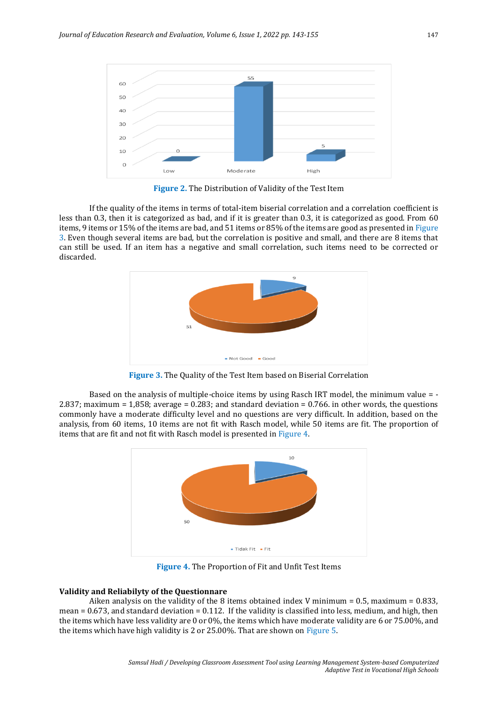

**Figure 2.** The Distribution of Validity of the Test Item

If the quality of the items in terms of total-item biserial correlation and a correlation coefficient is less than 0.3, then it is categorized as bad, and if it is greater than 0.3, it is categorized as good. From 60 items, 9 items or 15% of the items are bad, and 51 items or 85% of the items are good as presented in Figure 3. Even though several items are bad, but the correlation is positive and small, and there are 8 items that can still be used. If an item has a negative and small correlation, such items need to be corrected or discarded.



**Figure 3.** The Quality of the Test Item based on Biserial Correlation

Based on the analysis of multiple-choice items by using Rasch IRT model, the minimum value = - 2.837; maximum = 1,858; average = 0.283; and standard deviation = 0.766. in other words, the questions commonly have a moderate difficulty level and no questions are very difficult. In addition, based on the analysis, from 60 items, 10 items are not fit with Rasch model, while 50 items are fit. The proportion of items that are fit and not fit with Rasch model is presented in Figure 4.



**Figure 4.** The Proportion of Fit and Unfit Test Items

# **Validity and Reliabilyty of the Questionnare**

Aiken analysis on the validity of the 8 items obtained index V minimum =  $0.5$ , maximum =  $0.833$ , mean  $= 0.673$ , and standard deviation  $= 0.112$ . If the validity is classified into less, medium, and high, then the items which have less validity are 0 or 0%, the items which have moderate validity are 6 or 75.00%, and the items which have high validity is 2 or 25.00%. That are shown on Figure 5.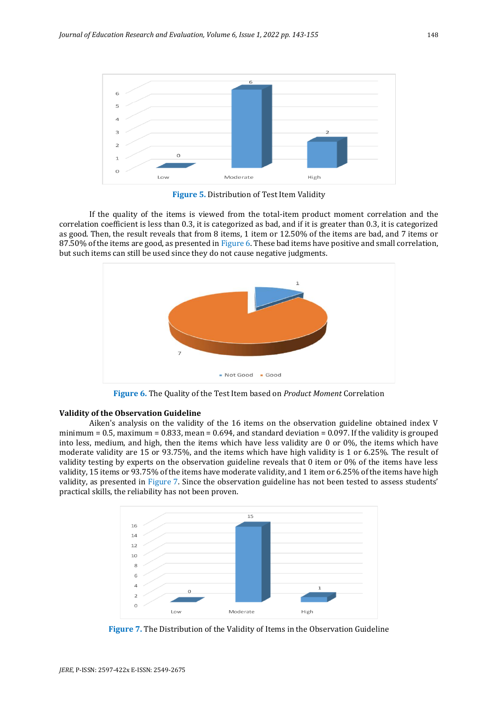

**Figure 5.** Distribution of Test Item Validity

If the quality of the items is viewed from the total-item product moment correlation and the correlation coefficient is less than 0.3, it is categorized as bad, and if it is greater than 0.3, it is categorized as good. Then, the result reveals that from 8 items, 1 item or 12.50% of the items are bad, and 7 items or 87.50% of the items are good, as presented in Figure 6. These bad items have positive and small correlation, but such items can still be used since they do not cause negative judgments.



**Figure 6.** The Quality of the Test Item based on *Product Moment* Correlation

## **Validity of the Observation Guideline**

Aiken's analysis on the validity of the 16 items on the observation guideline obtained index V minimum =  $0.5$ , maximum =  $0.833$ , mean =  $0.694$ , and standard deviation =  $0.097$ . If the validity is grouped into less, medium, and high, then the items which have less validity are 0 or 0%, the items which have moderate validity are 15 or 93.75%, and the items which have high validity is 1 or 6.25%. The result of validity testing by experts on the observation guideline reveals that 0 item or 0% of the items have less validity, 15 items or 93.75% of the items have moderate validity, and 1 item or 6.25% of the items have high validity, as presented in Figure 7. Since the observation guideline has not been tested to assess students' practical skills, the reliability has not been proven.



**Figure 7.** The Distribution of the Validity of Items in the Observation Guideline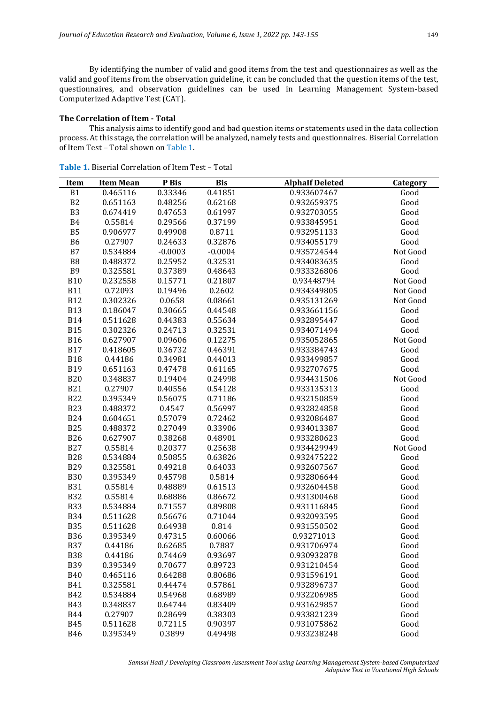By identifying the number of valid and good items from the test and questionnaires as well as the valid and goof items from the observation guideline, it can be concluded that the question items of the test, questionnaires, and observation guidelines can be used in Learning Management System-based Computerized Adaptive Test (CAT).

# **The Correlation of Item - Total**

This analysis aims to identify good and bad question items or statements used in the data collection process. At this stage, the correlation will be analyzed, namely tests and questionnaires. Biserial Correlation of Item Test – Total shown on Table 1.

| Item           | <b>Item Mean</b> | P Bis     | <b>Bis</b> | <b>AlphaIf Deleted</b> | <b>Category</b> |
|----------------|------------------|-----------|------------|------------------------|-----------------|
| <b>B1</b>      | 0.465116         | 0.33346   | 0.41851    | 0.933607467            | Good            |
| B2             | 0.651163         | 0.48256   | 0.62168    | 0.932659375            | Good            |
| B <sub>3</sub> | 0.674419         | 0.47653   | 0.61997    | 0.932703055            | Good            |
| <b>B4</b>      | 0.55814          | 0.29566   | 0.37199    | 0.933845951            | Good            |
| <b>B5</b>      | 0.906977         | 0.49908   | 0.8711     | 0.932951133            | Good            |
| <b>B6</b>      | 0.27907          | 0.24633   | 0.32876    | 0.934055179            | Good            |
| B7             | 0.534884         | $-0.0003$ | $-0.0004$  | 0.935724544            | Not Good        |
| B8             | 0.488372         | 0.25952   | 0.32531    | 0.934083635            | Good            |
| B <sub>9</sub> | 0.325581         | 0.37389   | 0.48643    | 0.933326806            | Good            |
| <b>B10</b>     | 0.232558         | 0.15771   | 0.21807    | 0.93448794             | Not Good        |
| <b>B11</b>     | 0.72093          | 0.19496   | 0.2602     | 0.934349805            | Not Good        |
| <b>B12</b>     | 0.302326         | 0.0658    | 0.08661    | 0.935131269            | Not Good        |
| <b>B13</b>     | 0.186047         | 0.30665   | 0.44548    | 0.933661156            | Good            |
| <b>B14</b>     | 0.511628         | 0.44383   | 0.55634    | 0.932895447            | Good            |
| <b>B15</b>     | 0.302326         | 0.24713   | 0.32531    | 0.934071494            | Good            |
| <b>B16</b>     | 0.627907         | 0.09606   | 0.12275    | 0.935052865            | Not Good        |
| <b>B17</b>     | 0.418605         | 0.36732   | 0.46391    | 0.933384743            | Good            |
| <b>B18</b>     | 0.44186          | 0.34981   | 0.44013    | 0.933499857            | Good            |
| <b>B19</b>     | 0.651163         | 0.47478   | 0.61165    | 0.932707675            | Good            |
| <b>B20</b>     | 0.348837         | 0.19404   | 0.24998    | 0.934431506            | Not Good        |
| <b>B21</b>     | 0.27907          | 0.40556   | 0.54128    | 0.933135313            | Good            |
| <b>B22</b>     | 0.395349         | 0.56075   | 0.71186    | 0.932150859            | Good            |
| <b>B23</b>     | 0.488372         | 0.4547    | 0.56997    | 0.932824858            | Good            |
| <b>B24</b>     | 0.604651         | 0.57079   | 0.72462    | 0.932086487            | Good            |
| <b>B25</b>     | 0.488372         | 0.27049   | 0.33906    | 0.934013387            | Good            |
| <b>B26</b>     | 0.627907         | 0.38268   | 0.48901    | 0.933280623            | Good            |
| <b>B27</b>     | 0.55814          | 0.20377   | 0.25638    | 0.934429949            | Not Good        |
| <b>B28</b>     | 0.534884         | 0.50855   | 0.63826    | 0.932475222            | Good            |
| <b>B29</b>     | 0.325581         | 0.49218   | 0.64033    | 0.932607567            | Good            |
| <b>B30</b>     | 0.395349         | 0.45798   | 0.5814     | 0.932806644            | Good            |
| <b>B31</b>     | 0.55814          | 0.48889   | 0.61513    | 0.932604458            | Good            |
| <b>B32</b>     | 0.55814          | 0.68886   | 0.86672    | 0.931300468            | Good            |
| <b>B33</b>     | 0.534884         | 0.71557   | 0.89808    | 0.931116845            | Good            |
| <b>B34</b>     | 0.511628         | 0.56676   | 0.71044    | 0.932093595            | Good            |
| <b>B35</b>     | 0.511628         | 0.64938   | 0.814      | 0.931550502            | Good            |
| <b>B36</b>     | 0.395349         | 0.47315   | 0.60066    | 0.93271013             | Good            |
| <b>B37</b>     | 0.44186          | 0.62685   | 0.7887     | 0.931706974            | Good            |
| B38            | 0.44186          | 0.74469   | 0.93697    | 0.930932878            | Good            |
| <b>B39</b>     | 0.395349         | 0.70677   | 0.89723    | 0.931210454            | Good            |
| <b>B40</b>     | 0.465116         | 0.64288   | 0.80686    | 0.931596191            | Good            |
| <b>B41</b>     | 0.325581         | 0.44474   | 0.57861    | 0.932896737            | Good            |
| <b>B42</b>     | 0.534884         | 0.54968   | 0.68989    | 0.932206985            | Good            |
| <b>B43</b>     | 0.348837         | 0.64744   | 0.83409    | 0.931629857            | Good            |
| <b>B44</b>     | 0.27907          | 0.28699   | 0.38303    | 0.933821239            | Good            |
| <b>B45</b>     | 0.511628         | 0.72115   | 0.90397    | 0.931075862            | Good            |
| <b>B46</b>     | 0.395349         | 0.3899    | 0.49498    | 0.933238248            | Good            |

**Table 1.** Biserial Correlation of Item Test – Total

*Samsul Hadi / Developing Classroom Assessment Tool using Learning Management System-based Computerized Adaptive Test in Vocational High Schools*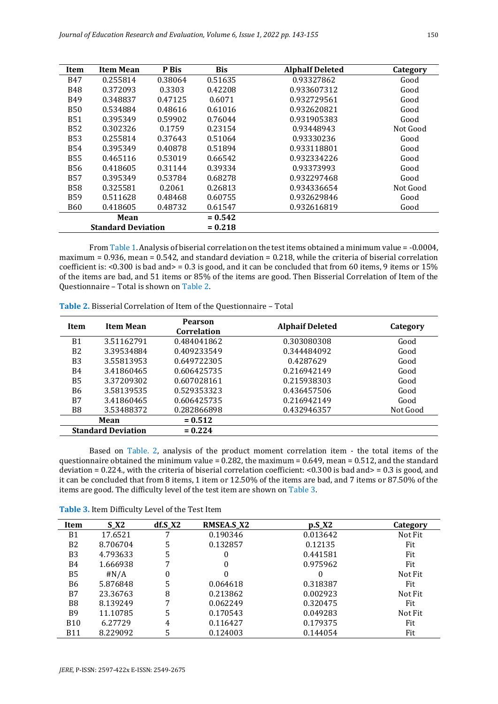| Item                      | <b>Item Mean</b> | P Bis   | <b>Bis</b> | <b>AlphaIf Deleted</b> | Category |
|---------------------------|------------------|---------|------------|------------------------|----------|
| <b>B47</b>                | 0.255814         | 0.38064 | 0.51635    | 0.93327862             | Good     |
| <b>B48</b>                | 0.372093         | 0.3303  | 0.42208    | 0.933607312            | Good     |
| <b>B49</b>                | 0.348837         | 0.47125 | 0.6071     | 0.932729561            | Good     |
| <b>B50</b>                | 0.534884         | 0.48616 | 0.61016    | 0.932620821            | Good     |
| <b>B51</b>                | 0.395349         | 0.59902 | 0.76044    | 0.931905383            | Good     |
| <b>B52</b>                | 0.302326         | 0.1759  | 0.23154    | 0.93448943             | Not Good |
| <b>B53</b>                | 0.255814         | 0.37643 | 0.51064    | 0.93330236             | Good     |
| <b>B54</b>                | 0.395349         | 0.40878 | 0.51894    | 0.933118801            | Good     |
| <b>B55</b>                | 0.465116         | 0.53019 | 0.66542    | 0.932334226            | Good     |
| <b>B56</b>                | 0.418605         | 0.31144 | 0.39334    | 0.93373993             | Good     |
| <b>B57</b>                | 0.395349         | 0.53784 | 0.68278    | 0.932297468            | Good     |
| <b>B58</b>                | 0.325581         | 0.2061  | 0.26813    | 0.934336654            | Not Good |
| <b>B59</b>                | 0.511628         | 0.48468 | 0.60755    | 0.932629846            | Good     |
| <b>B60</b>                | 0.418605         | 0.48732 | 0.61547    | 0.932616819            | Good     |
|                           | Mean             |         | $= 0.542$  |                        |          |
| <b>Standard Deviation</b> |                  |         | $= 0.218$  |                        |          |

From Table 1. Analysis of biserial correlation on the test items obtained a minimum value = -0.0004, maximum = 0.936, mean = 0.542, and standard deviation = 0.218, while the criteria of biserial correlation coefficient is:  $\langle 0.300 \rangle$  is bad and  $\langle 0.30 \rangle = 0.3$  is good, and it can be concluded that from 60 items, 9 items or 15% of the items are bad, and 51 items or 85% of the items are good. Then Bisserial Correlation of Item of the Questionnaire – Total is shown on Table 2.

| <b>Item</b>               | Item Mean  | Pearson<br>Correlation | <b>Alphaif Deleted</b> | Category |
|---------------------------|------------|------------------------|------------------------|----------|
| B <sub>1</sub>            | 3.51162791 | 0.484041862            | 0.303080308            | Good     |
| B <sub>2</sub>            | 3.39534884 | 0.409233549            | 0.344484092            | Good     |
| B <sub>3</sub>            | 3.55813953 | 0.649722305            | 0.4287629              | Good     |
| B4                        | 3.41860465 | 0.606425735            | 0.216942149            | Good     |
| B <sub>5</sub>            | 3.37209302 | 0.607028161            | 0.215938303            | Good     |
| <b>B6</b>                 | 3.58139535 | 0.529353323            | 0.436457506            | Good     |
| B7                        | 3.41860465 | 0.606425735            | 0.216942149            | Good     |
| B <sub>8</sub>            | 3.53488372 | 0.282866898            | 0.432946357            | Not Good |
|                           | Mean       | $= 0.512$              |                        |          |
| <b>Standard Deviation</b> |            | $= 0.224$              |                        |          |

**Table 2.** Bisserial Correlation of Item of the Questionnaire – Total

Based on Table. 2, analysis of the product moment correlation item - the total items of the questionnaire obtained the minimum value = 0.282, the maximum = 0.649, mean = 0.512, and the standard deviation = 0.224., with the criteria of biserial correlation coefficient: <0.300 is bad and> = 0.3 is good, and it can be concluded that from 8 items, 1 item or 12.50% of the items are bad, and 7 items or 87.50% of the items are good. The difficulty level of the test item are shown on Table 3.

| Item           | $S_X^2$  | $df.S_X2$ | RMSEA.S_X2 | $p.S_X2$ | Category |
|----------------|----------|-----------|------------|----------|----------|
| <b>B1</b>      | 17.6521  |           | 0.190346   | 0.013642 | Not Fit  |
| B <sub>2</sub> | 8.706704 | 5         | 0.132857   | 0.12135  | Fit      |
| B <sub>3</sub> | 4.793633 | 5         | $\theta$   | 0.441581 | Fit      |
| B4             | 1.666938 |           | 0          | 0.975962 | Fit      |
| <b>B5</b>      | #N/A     | 0         | 0          |          | Not Fit  |
| B6             | 5.876848 | 5         | 0.064618   | 0.318387 | Fit      |
| B7             | 23.36763 | 8         | 0.213862   | 0.002923 | Not Fit  |
| B <sub>8</sub> | 8.139249 |           | 0.062249   | 0.320475 | Fit      |
| <b>B9</b>      | 11.10785 | 5         | 0.170543   | 0.049283 | Not Fit  |
| <b>B10</b>     | 6.27729  | 4         | 0.116427   | 0.179375 | Fit      |
| <b>B11</b>     | 8.229092 |           | 0.124003   | 0.144054 | Fit      |

**Table 3.** Item Difficulty Level of the Test Item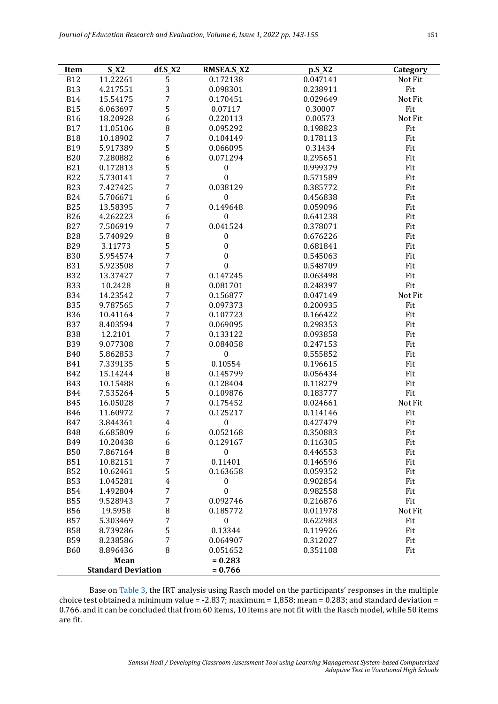| Item                      | $S_X2$               | $df.S_X2$                    | RMSEA.S_X2                    | $p.S_X2$             | Category   |
|---------------------------|----------------------|------------------------------|-------------------------------|----------------------|------------|
| <b>B12</b>                | 11.22261             | 5                            | 0.172138                      | 0.047141             | Not Fit    |
| <b>B13</b>                | 4.217551             | 3                            | 0.098301                      | 0.238911             | Fit        |
| <b>B14</b>                | 15.54175             | 7                            | 0.170451                      | 0.029649             | Not Fit    |
| <b>B15</b>                | 6.063697             | 5                            | 0.07117                       | 0.30007              | Fit        |
| <b>B16</b>                | 18.20928             | 6                            | 0.220113                      | 0.00573              | Not Fit    |
| <b>B17</b>                | 11.05106             | 8                            | 0.095292                      | 0.198823             | Fit        |
| <b>B18</b>                | 10.18902             | 7                            | 0.104149                      | 0.178113             | Fit        |
| <b>B19</b>                | 5.917389             | 5                            | 0.066095                      | 0.31434              | Fit        |
| <b>B20</b>                | 7.280882             | 6                            | 0.071294                      | 0.295651             | Fit        |
| <b>B21</b>                | 0.172813             | 5                            | $\pmb{0}$                     | 0.999379             | Fit        |
| <b>B22</b>                | 5.730141             | $\overline{7}$               | $\boldsymbol{0}$              | 0.571589             | Fit        |
| <b>B23</b>                | 7.427425             | 7                            | 0.038129                      | 0.385772             | Fit        |
| <b>B24</b>                | 5.706671             | 6                            | $\boldsymbol{0}$              | 0.456838             | Fit        |
| <b>B25</b>                | 13.58395             | 7                            | 0.149648                      | 0.059096             | Fit        |
| <b>B26</b>                | 4.262223             | 6                            | $\boldsymbol{0}$              | 0.641238             | Fit        |
| <b>B27</b>                | 7.506919             | $\overline{7}$               | 0.041524                      | 0.378071             | Fit        |
| <b>B28</b>                | 5.740929             | 8                            | $\boldsymbol{0}$              | 0.676226             | Fit        |
| <b>B29</b>                | 3.11773              | 5                            | $\boldsymbol{0}$              | 0.681841             | Fit        |
| <b>B30</b>                | 5.954574             | 7                            | $\boldsymbol{0}$              | 0.545063             | Fit        |
| <b>B31</b>                | 5.923508             | $\overline{7}$               | $\boldsymbol{0}$              | 0.548709             | Fit        |
| <b>B32</b>                | 13.37427             | $\overline{7}$               | 0.147245                      | 0.063498             | Fit        |
| <b>B33</b>                | 10.2428              | 8                            | 0.081701                      | 0.248397             | Fit        |
| <b>B34</b>                | 14.23542             | 7                            | 0.156877                      | 0.047149             | Not Fit    |
| <b>B35</b>                | 9.787565             | $\overline{7}$               | 0.097373                      | 0.200935             | Fit        |
| <b>B36</b>                | 10.41164             | $\overline{7}$               | 0.107723                      | 0.166422             | Fit        |
| <b>B37</b>                | 8.403594             | $\overline{7}$               | 0.069095                      | 0.298353             | Fit        |
| <b>B38</b>                | 12.2101              | $\overline{7}$               | 0.133122                      | 0.093858             | Fit        |
| <b>B39</b>                | 9.077308             | 7                            | 0.084058                      | 0.247153             | Fit        |
| <b>B40</b>                | 5.862853             | $\overline{7}$               | $\boldsymbol{0}$              | 0.555852             | Fit        |
| <b>B41</b>                | 7.339135             | 5                            | 0.10554                       | 0.196615             | Fit        |
| <b>B42</b>                | 15.14244             | 8                            | 0.145799                      | 0.056434             | Fit        |
| <b>B43</b>                | 10.15488             | 6                            | 0.128404                      | 0.118279             | Fit        |
| <b>B44</b>                | 7.535264             | 5                            | 0.109876                      | 0.183777             | Fit        |
| <b>B45</b>                | 16.05028             | 7                            | 0.175452                      | 0.024661             | Not Fit    |
| <b>B46</b>                | 11.60972             | 7                            | 0.125217                      | 0.114146             | Fit        |
| <b>B47</b>                |                      | $\overline{4}$               | $\boldsymbol{0}$              | 0.427479             |            |
| <b>B48</b>                | 3.844361<br>6.685809 | 6                            | 0.052168                      | 0.350883             | Fit<br>Fit |
|                           |                      |                              |                               |                      |            |
| B49<br><b>B50</b>         | 10.20438<br>7.867164 | 6<br>8                       | 0.129167<br>$\bf{0}$          | 0.116305<br>0.446553 | Fit<br>Fit |
| <b>B51</b>                |                      | 7                            | 0.11401                       |                      | Fit        |
| <b>B52</b>                | 10.82151             | 5                            | 0.163658                      | 0.146596             | Fit        |
|                           | 10.62461             |                              |                               | 0.059352             |            |
| <b>B53</b><br><b>B54</b>  | 1.045281             | $\overline{\mathbf{4}}$<br>7 | $\pmb{0}$<br>$\boldsymbol{0}$ | 0.902854<br>0.982558 | Fit<br>Fit |
|                           | 1.492804             |                              |                               |                      |            |
| <b>B55</b>                | 9.528943             | 7                            | 0.092746                      | 0.216876             | Fit        |
| <b>B56</b>                | 19.5958              | 8                            | 0.185772                      | 0.011978             | Not Fit    |
| <b>B57</b>                | 5.303469             | 7                            | $\boldsymbol{0}$              | 0.622983             | Fit        |
| <b>B58</b>                | 8.739286             | 5                            | 0.13344                       | 0.119926             | Fit        |
| <b>B59</b>                | 8.238586             | 7                            | 0.064907                      | 0.312027             | Fit        |
| <b>B60</b>                | 8.896436             | 8                            | 0.051652                      | 0.351108             | Fit        |
|                           | Mean                 |                              | $= 0.283$                     |                      |            |
| <b>Standard Deviation</b> |                      |                              | $= 0.766$                     |                      |            |

Base on Table 3, the IRT analysis using Rasch model on the participants' responses in the multiple choice test obtained a minimum value = -2.837; maximum = 1,858; mean = 0.283; and standard deviation = 0.766. and it can be concluded that from 60 items, 10 items are not fit with the Rasch model, while 50 items are fit.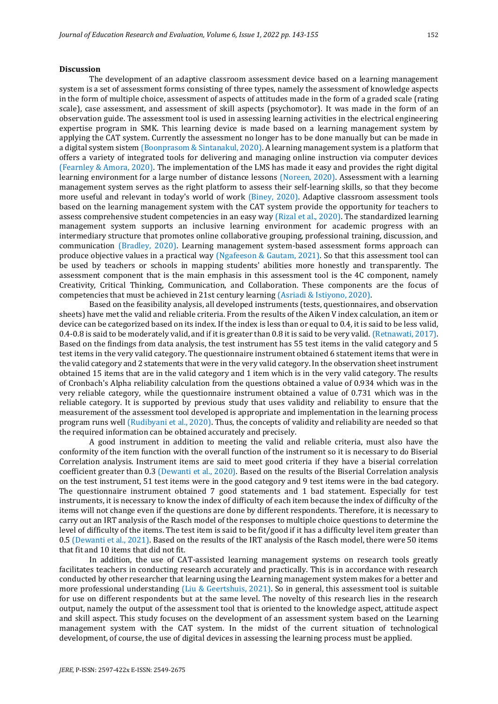# **Discussion**

The development of an adaptive classroom assessment device based on a learning management system is a set of assessment forms consisting of three types, namely the assessment of knowledge aspects in the form of multiple choice, assessment of aspects of attitudes made in the form of a graded scale (rating scale), case assessment, and assessment of skill aspects (psychomotor). It was made in the form of an observation guide. The assessment tool is used in assessing learning activities in the electrical engineering expertise program in SMK. This learning device is made based on a learning management system by applying the CAT system. Currently the assessment no longer has to be done manually but can be made in a digital system sistem (Boonprasom & Sintanakul, 2020). A learning management system is a platform that offers a variety of integrated tools for delivering and managing online instruction via computer devices (Fearnley & Amora, 2020). The implementation of the LMS has made it easy and provides the right digital learning environment for a large number of distance lessons (Noreen, 2020). Assessment with a learning management system serves as the right platform to assess their self-learning skills, so that they become more useful and relevant in today's world of work (Biney, 2020). Adaptive classroom assessment tools based on the learning management system with the CAT system provide the opportunity for teachers to assess comprehensive student competencies in an easy way (Rizal et al., 2020). The standardized learning management system supports an inclusive learning environment for academic progress with an intermediary structure that promotes online collaborative grouping, professional training, discussion, and communication (Bradley, 2020). Learning management system-based assessment forms approach can produce objective values in a practical way (Ngafeeson & Gautam, 2021). So that this assessment tool can be used by teachers or schools in mapping students' abilities more honestly and transparently. The assessment component that is the main emphasis in this assessment tool is the 4C component, namely Creativity, Critical Thinking, Communication, and Collaboration. These components are the focus of competencies that must be achieved in 21st century learning (Asriadi & Istiyono, 2020).

Based on the feasibility analysis, all developed instruments (tests, questionnaires, and observation sheets) have met the valid and reliable criteria. From the results of the Aiken V index calculation, an item or device can be categorized based on its index. If the index is less than or equal to 0.4, it is said to be less valid, 0.4-0.8 is said to be moderately valid, and if it is greater than 0.8 it is said to be very valid. (Retnawati, 2017). Based on the findings from data analysis, the test instrument has 55 test items in the valid category and 5 test items in the very valid category. The questionnaire instrument obtained 6 statement items that were in the valid category and 2 statements that were in the very valid category. In the observation sheet instrument obtained 15 items that are in the valid category and 1 item which is in the very valid category. The results of Cronbach's Alpha reliability calculation from the questions obtained a value of 0.934 which was in the very reliable category, while the questionnaire instrument obtained a value of 0.731 which was in the reliable category. It is supported by previous study that uses validity and reliability to ensure that the measurement of the assessment tool developed is appropriate and implementation in the learning process program runs well (Rudibyani et al., 2020). Thus, the concepts of validity and reliability are needed so that the required information can be obtained accurately and precisely.

A good instrument in addition to meeting the valid and reliable criteria, must also have the conformity of the item function with the overall function of the instrument so it is necessary to do Biserial Correlation analysis. Instrument items are said to meet good criteria if they have a biserial correlation coefficient greater than 0.3 (Dewanti et al., 2020). Based on the results of the Biserial Correlation analysis on the test instrument, 51 test items were in the good category and 9 test items were in the bad category. The questionnaire instrument obtained 7 good statements and 1 bad statement. Especially for test instruments, it is necessary to know the index of difficulty of each item because the index of difficulty of the items will not change even if the questions are done by different respondents. Therefore, it is necessary to carry out an IRT analysis of the Rasch model of the responses to multiple choice questions to determine the level of difficulty of the items. The test item is said to be fit/good if it has a difficulty level item greater than 0.5 (Dewanti et al., 2021). Based on the results of the IRT analysis of the Rasch model, there were 50 items that fit and 10 items that did not fit.

In addition, the use of CAT-assisted learning management systems on research tools greatly facilitates teachers in conducting research accurately and practically. This is in accordance with research conducted by other researcher that learning using the Learning management system makes for a better and more professional understanding (Liu & Geertshuis, 2021). So in general, this assessment tool is suitable for use on different respondents but at the same level. The novelty of this research lies in the research output, namely the output of the assessment tool that is oriented to the knowledge aspect, attitude aspect and skill aspect. This study focuses on the development of an assessment system based on the Learning management system with the CAT system. In the midst of the current situation of technological development, of course, the use of digital devices in assessing the learning process must be applied.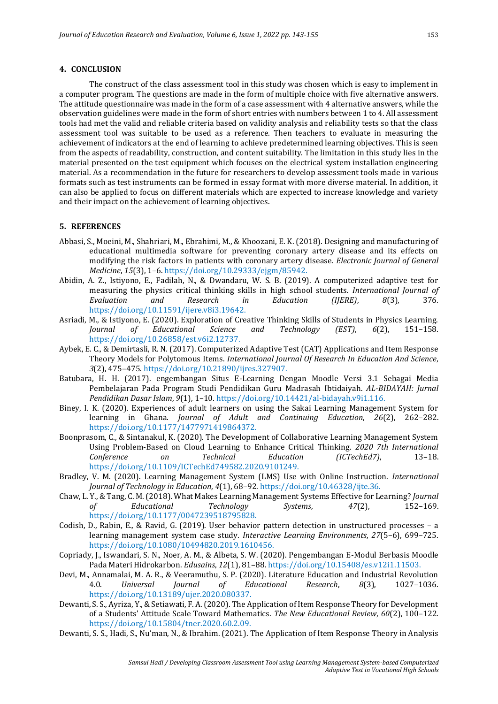# **4. CONCLUSION**

The construct of the class assessment tool in this study was chosen which is easy to implement in a computer program. The questions are made in the form of multiple choice with five alternative answers. The attitude questionnaire was made in the form of a case assessment with 4 alternative answers, while the observation guidelines were made in the form of short entries with numbers between 1 to 4. All assessment tools had met the valid and reliable criteria based on validity analysis and reliability tests so that the class assessment tool was suitable to be used as a reference. Then teachers to evaluate in measuring the achievement of indicators at the end of learning to achieve predetermined learning objectives. This is seen from the aspects of readability, construction, and content suitability. The limitation in this study lies in the material presented on the test equipment which focuses on the electrical system installation engineering material. As a recommendation in the future for researchers to develop assessment tools made in various formats such as test instruments can be formed in essay format with more diverse material. In addition, it can also be applied to focus on different materials which are expected to increase knowledge and variety and their impact on the achievement of learning objectives.

# **5. REFERENCES**

- Abbasi, S., Moeini, M., Shahriari, M., Ebrahimi, M., & Khoozani, E. K. (2018). Designing and manufacturing of educational multimedia software for preventing coronary artery disease and its effects on modifying the risk factors in patients with coronary artery disease. *Electronic Journal of General Medicine*, *15*(3), 1–6. https://doi.org/10.29333/ejgm/85942.
- Abidin, A. Z., Istiyono, E., Fadilah, N., & Dwandaru, W. S. B. (2019). A computerized adaptive test for measuring the physics critical thinking skills in high school students. *International Journal of Evaluation and Research in Education (IJERE)*, *8*(3), 376. https://doi.org/10.11591/ijere.v8i3.19642.
- Asriadi, M., & Istiyono, E. (2020). Exploration of Creative Thinking Skills of Students in Physics Learning. *Journal of Educational Science and Technology (EST)*, *6*(2), 151–158. https://doi.org/10.26858/est.v6i2.12737.
- Aybek, E. C., & Demirtasli, R. N. (2017). Computerized Adaptive Test (CAT) Applications and Item Response Theory Models for Polytomous Items. *International Journal Of Research In Education And Science*, *3*(2), 475–475. https://doi.org/10.21890/ijres.327907.
- Batubara, H. H. (2017). engembangan Situs E-Learning Dengan Moodle Versi 3.1 Sebagai Media Pembelajaran Pada Program Studi Pendidikan Guru Madrasah Ibtidaiyah. *AL-BIDAYAH: Jurnal Pendidikan Dasar Islam*, *9*(1), 1–10. https://doi.org/10.14421/al-bidayah.v9i1.116.
- Biney, I. K. (2020). Experiences of adult learners on using the Sakai Learning Management System for learning in Ghana. *Journal of Adult and Continuing Education*, *26*(2), 262–282. https://doi.org/10.1177/1477971419864372.
- Boonprasom, C., & Sintanakul, K. (2020). The Development of Collaborative Learning Management System Using Problem-Based on Cloud Learning to Enhance Critical Thinking. *2020 7th International Conference on Technical Education (ICTechEd7)*, 13–18. https://doi.org/10.1109/ICTechEd749582.2020.9101249.
- Bradley, V. M. (2020). Learning Management System (LMS) Use with Online Instruction. *International Journal of Technology in Education*, *4*(1), 68–92. https://doi.org/10.46328/ijte.36.
- Chaw, L. Y., & Tang, C. M. (2018). What Makes Learning Management Systems Effective for Learning? *Journal of Educational Technology Systems*, *47*(2), 152–169. https://doi.org/10.1177/0047239518795828.
- Codish, D., Rabin, E., & Ravid, G. (2019). User behavior pattern detection in unstructured processes a learning management system case study. *Interactive Learning Environments*, *27*(5–6), 699–725. https://doi.org/10.1080/10494820.2019.1610456.
- Copriady, J., Iswandari, S. N., Noer, A. M., & Albeta, S. W. (2020). Pengembangan E-Modul Berbasis Moodle Pada Materi Hidrokarbon. *Edusains*, *12*(1), 81–88. https://doi.org/10.15408/es.v12i1.11503.
- Devi, M., Annamalai, M. A. R., & Veeramuthu, S. P. (2020). Literature Education and Industrial Revolution 4.0. *Universal Journal of Educational Research*, *8*(3), 1027–1036. https://doi.org/10.13189/ujer.2020.080337.
- Dewanti, S. S., Ayriza, Y., & Setiawati, F. A. (2020). The Application of Item Response Theory for Development of a Students' Attitude Scale Toward Mathematics. *The New Educational Review*, *60*(2), 100–122. https://doi.org/10.15804/tner.2020.60.2.09.
- Dewanti, S. S., Hadi, S., Nu'man, N., & Ibrahim. (2021). The Application of Item Response Theory in Analysis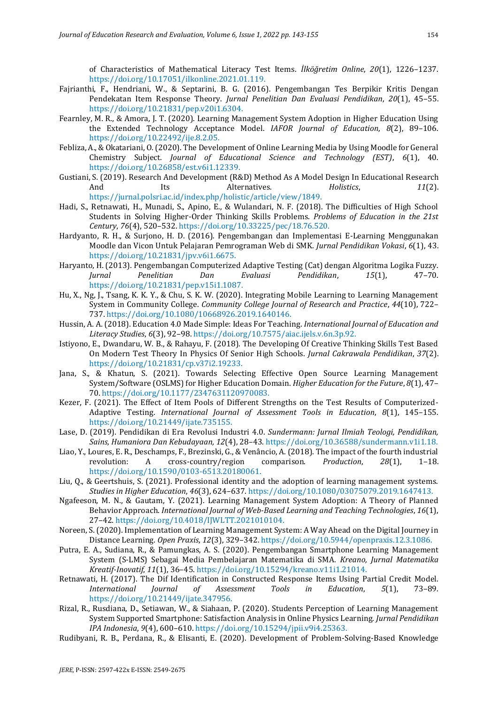of Characteristics of Mathematical Literacy Test Items. *İlköğretim Online*, *20*(1), 1226–1237. https://doi.org/10.17051/ilkonline.2021.01.119.

- Fajrianthi, F., Hendriani, W., & Septarini, B. G. (2016). Pengembangan Tes Berpikir Kritis Dengan Pendekatan Item Response Theory. *Jurnal Penelitian Dan Evaluasi Pendidikan*, *20*(1), 45–55. https://doi.org/10.21831/pep.v20i1.6304.
- Fearnley, M. R., & Amora, J. T. (2020). Learning Management System Adoption in Higher Education Using the Extended Technology Acceptance Model. *IAFOR Journal of Education*, *8*(2), 89–106. https://doi.org/10.22492/ije.8.2.05.
- Febliza, A., & Okatariani, O. (2020). The Development of Online Learning Media by Using Moodle for General Chemistry Subject. *Journal of Educational Science and Technology (EST)*, *6*(1), 40. https://doi.org/10.26858/est.v6i1.12339.
- Gustiani, S. (2019). Research And Development (R&D) Method As A Model Design In Educational Research And Its Alternatives. *Holistics*, *11*(2). https://jurnal.polsri.ac.id/index.php/holistic/article/view/1849.
- Hadi, S., Retnawati, H., Munadi, S., Apino, E., & Wulandari, N. F. (2018). The Difficulties of High School Students in Solving Higher-Order Thinking Skills Problems. *Problems of Education in the 21st Century*, *76*(4), 520–532. https://doi.org/10.33225/pec/18.76.520.
- Hardyanto, R. H., & Surjono, H. D. (2016). Pengembangan dan Implementasi E-Learning Menggunakan Moodle dan Vicon Untuk Pelajaran Pemrograman Web di SMK. *Jurnal Pendidikan Vokasi*, *6*(1), 43. https://doi.org/10.21831/jpv.v6i1.6675.
- Haryanto, H. (2013). Pengembangan Computerized Adaptive Testing (Cat) dengan Algoritma Logika Fuzzy. *Jurnal Penelitian Dan Evaluasi Pendidikan*, *15*(1), 47–70. https://doi.org/10.21831/pep.v15i1.1087.
- Hu, X., Ng, J., Tsang, K. K. Y., & Chu, S. K. W. (2020). Integrating Mobile Learning to Learning Management System in Community College. *Community College Journal of Research and Practice*, *44*(10), 722– 737. https://doi.org/10.1080/10668926.2019.1640146.
- Hussin, A. A. (2018). Education 4.0 Made Simple: Ideas For Teaching. *International Journal of Education and Literacy Studies*, *6*(3), 92–98. https://doi.org/10.7575/aiac.ijels.v.6n.3p.92.
- Istiyono, E., Dwandaru, W. B., & Rahayu, F. (2018). The Developing Of Creative Thinking Skills Test Based On Modern Test Theory In Physics Of Senior High Schools. *Jurnal Cakrawala Pendidikan*, *37*(2). https://doi.org/10.21831/cp.v37i2.19233.
- Jana, S., & Khatun, S. (2021). Towards Selecting Effective Open Source Learning Management System/Software (OSLMS) for Higher Education Domain. *Higher Education for the Future*, *8*(1), 47– 70. https://doi.org/10.1177/2347631120970083.
- Kezer, F. (2021). The Effect of Item Pools of Different Strengths on the Test Results of Computerized-Adaptive Testing. *International Journal of Assessment Tools in Education*, *8*(1), 145–155. https://doi.org/10.21449/ijate.735155.
- Lase, D. (2019). Pendidikan di Era Revolusi Industri 4.0. *Sundermann: Jurnal Ilmiah Teologi, Pendidikan, Sains, Humaniora Dan Kebudayaan, 12*(4), 28–43. https://doi.org/10.36588/sundermann.v1i1.18.
- Liao, Y., Loures, E. R., Deschamps, F., Brezinski, G., & Venâncio, A. (2018). The impact of the fourth industrial revolution: A cross-country/region comparison. *Production*, *28*(1), 1–18. https://doi.org/10.1590/0103-6513.20180061.
- Liu, Q., & Geertshuis, S. (2021). Professional identity and the adoption of learning management systems. *Studies in Higher Education*, *46*(3), 624–637. https://doi.org/10.1080/03075079.2019.1647413.
- Ngafeeson, M. N., & Gautam, Y. (2021). Learning Management System Adoption: A Theory of Planned Behavior Approach. *International Journal of Web-Based Learning and Teaching Technologies*, *16*(1), 27–42. https://doi.org/10.4018/IJWLTT.2021010104.
- Noreen, S. (2020). Implementation of Learning Management System: A Way Ahead on the Digital Journey in Distance Learning. *Open Praxis*, *12*(3), 329–342. https://doi.org/10.5944/openpraxis.12.3.1086.
- Putra, E. A., Sudiana, R., & Pamungkas, A. S. (2020). Pengembangan Smartphone Learning Management System (S-LMS) Sebagai Media Pembelajaran Matematika di SMA. *Kreano, Jurnal Matematika Kreatif-Inovatif*, *11*(1), 36–45. https://doi.org/10.15294/kreano.v11i1.21014.
- Retnawati, H. (2017). The Dif Identification in Constructed Response Items Using Partial Credit Model. *International Journal of Assessment Tools in Education*, *5*(1), 73–89. https://doi.org/10.21449/ijate.347956.
- Rizal, R., Rusdiana, D., Setiawan, W., & Siahaan, P. (2020). Students Perception of Learning Management System Supported Smartphone: Satisfaction Analysis in Online Physics Learning. *Jurnal Pendidikan IPA Indonesia*, *9*(4), 600–610. https://doi.org/10.15294/jpii.v9i4.25363.
- Rudibyani, R. B., Perdana, R., & Elisanti, E. (2020). Development of Problem-Solving-Based Knowledge